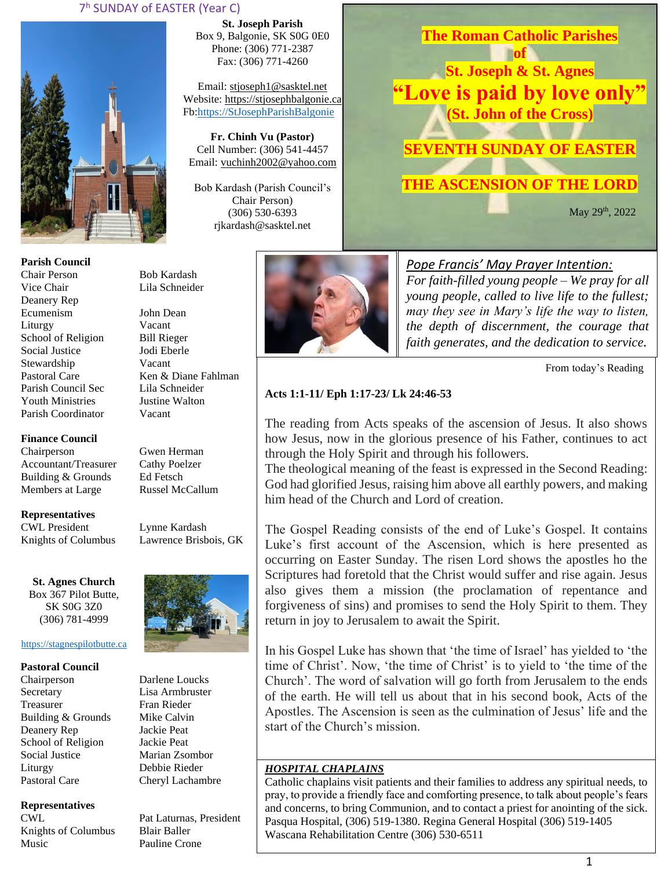### 7 <sup>h</sup> SUNDAY of EASTER (Year C)



**Parish Council** Chair Person Bob Kardash Vice Chair Lila Schneider Deanery Rep Ecumenism John Dean Liturgy Vacant School of Religion Bill Rieger Social Justice Jodi Eberle Stewardship Vacant Pastoral Care Ken & Diane Fahlman Parish Council Sec Lila Schneider Youth Ministries Justine Walton Parish Coordinator Vacant

### **Finance Council**

Chairperson Gwen Herman Accountant/Treasurer Cathy Poelzer<br>Building & Grounds Ed Fetsch Building & Grounds Members at Large Russel McCallum

**Representatives** CWL President Lynne Kardash

Knights of Columbus Lawrence Brisbois, GK

**St. Agnes Church** Box 367 Pilot Butte, SK S0G 3Z0 (306) 781-4999

### [https://stagnespilotbutte.ca](https://stagnespilotbutte.ca/)

#### **Pastoral Council**

Chairperson Darlene Loucks Secretary Lisa Armbruster Treasurer Fran Rieder Building & Grounds Mike Calvin Deanery Rep Jackie Peat School of Religion Jackie Peat Social Justice Marian Zsombor Liturgy Debbie Rieder Pastoral Care Cheryl Lachambre

### **Representatives**

Knights of Columbus Blair Baller Music Pauline Crone

**St. Joseph Parish** Box 9, Balgonie, SK S0G 0E0 Phone: (306) 771-2387 Fax: (306) 771-4260

Email: [stjoseph1@sasktel.net](mailto:stjoseph1@sasktel.net) Website: [https://stjosephbalgonie.ca](https://stjosephbalgonie.ca/) Fb[:https://StJosephParishBalgonie](https://stjosephparishbalgonie/)

**Fr. Chinh Vu (Pastor)** Cell Number: (306) 541-4457 Email: [vuchinh2002@yahoo.com](mailto:vuchinh2002@yahoo.com)

Bob Kardash (Parish Council's Chair Person) (306) 530-6393 rjkardash@sasktel.net



**The Roman Catholic Parishes of** 

**St. Joseph & St. Agnes "Love is paid by love only" (St. John of the Cross)**

# **SEVENTH SUNDAY OF EASTER**

# **THE ASCENSION OF THE LORD**

**May 29th, 2022** 

### *Pope Francis' May Prayer Intention:*

*For faith-filled young people – We pray for all young people, called to live life to the fullest; may they see in Mary's life the way to listen, the depth of discernment, the courage that faith generates, and the dedication to service.* 

From today's Reading

### **Acts 1:1-11/ Eph 1:17-23/ Lk 24:46-53**

The reading from Acts speaks of the ascension of Jesus. It also shows how Jesus, now in the glorious presence of his Father, continues to act through the Holy Spirit and through his followers.

The theological meaning of the feast is expressed in the Second Reading: God had glorified Jesus, raising him above all earthly powers, and making him head of the Church and Lord of creation.

The Gospel Reading consists of the end of Luke's Gospel. It contains Luke's first account of the Ascension, which is here presented as occurring on Easter Sunday. The risen Lord shows the apostles ho the Scriptures had foretold that the Christ would suffer and rise again. Jesus also gives them a mission (the proclamation of repentance and forgiveness of sins) and promises to send the Holy Spirit to them. They return in joy to Jerusalem to await the Spirit.

In his Gospel Luke has shown that 'the time of Israel' has yielded to 'the time of Christ'. Now, 'the time of Christ' is to yield to 'the time of the Church'. The word of salvation will go forth from Jerusalem to the ends of the earth. He will tell us about that in his second book, Acts of the Apostles. The Ascension is seen as the culmination of Jesus' life and the start of the Church's mission.

### *HOSPITAL CHAPLAINS*

Catholic chaplains visit patients and their families to address any spiritual needs, to pray, to provide a friendly face and comforting presence, to talk about people's fears and concerns, to bring Communion, and to contact a priest for anointing of the sick. Pasqua Hospital, (306) 519-1380. Regina General Hospital (306) 519-1405 Wascana Rehabilitation Centre (306) 530-6511



CWL Pat Laturnas, President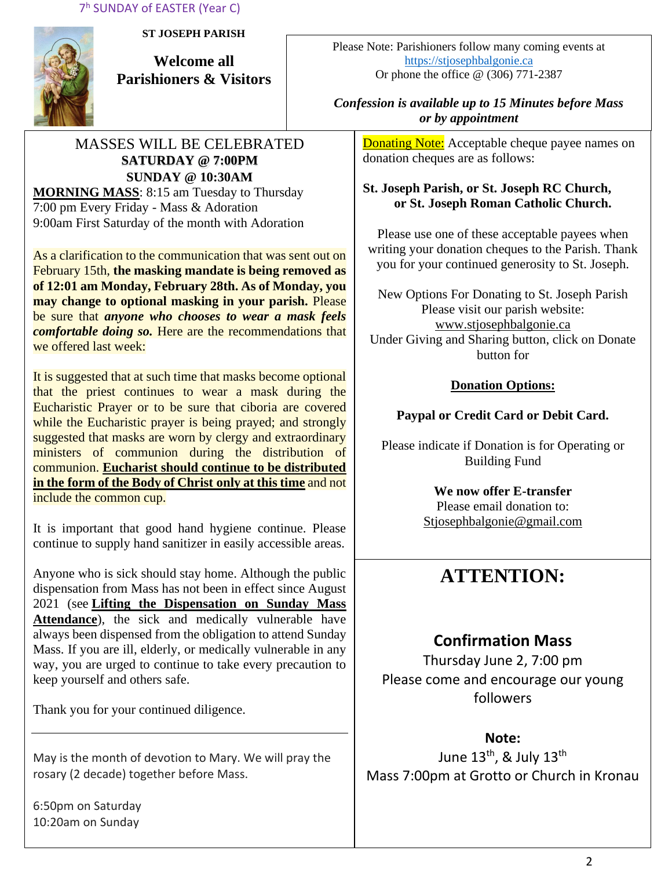7 <sup>h</sup> SUNDAY of EASTER (Year C)



**ST JOSEPH PARISH**

**Welcome all Parishioners & Visitors**

## MASSES WILL BE CELEBRATED **SATURDAY @ 7:00PM SUNDAY @ 10:30AM MORNING MASS**: 8:15 am Tuesday to Thursday

7:00 pm Every Friday - Mass & Adoration 9:00am First Saturday of the month with Adoration

As a clarification to the communication that was sent out on February 15th, **the masking mandate is being removed as of 12:01 am Monday, February 28th. As of Monday, you may change to optional masking in your parish.** Please be sure that *anyone who chooses to wear a mask feels comfortable doing so.* Here are the recommendations that we offered last week:

It is suggested that at such time that masks become optional that the priest continues to wear a mask during the Eucharistic Prayer or to be sure that ciboria are covered while the Eucharistic prayer is being prayed; and strongly suggested that masks are worn by clergy and extraordinary ministers of communion during the distribution of communion. **Eucharist should continue to be distributed in the form of the Body of Christ only at this time** and not include the common cup.

It is important that good hand hygiene continue. Please continue to supply hand sanitizer in easily accessible areas.

Anyone who is sick should stay home. Although the public dispensation from Mass has not been in effect since August 2021 (see **[Lifting the Dispensation on Sunday Mass](https://email-mg.flocknote.com/c/eJwVTruOwyAQ_Bq7M1oDxjQU1-Q_NgvEnAlE3j2d8vch0mhezUwM-2r0bucSNOgv7OoBtFcxGmOc9saCd3CnyUKunc7WJSnqz_kItMNqKW9g3ZYpk8ukacvGgbcR9TbXcIi8eDI_k74N4EXHlR6loeJTEY6qpX8eMpbXIeAHma-rJUtpjyUWfqXGKKW3hf9axPfyROYFRdJIjdJ8BRb12-9Yx0lGPiVV1ZJ8AD2CREI)  [Attendance](https://email-mg.flocknote.com/c/eJwVTruOwyAQ_Bq7M1oDxjQU1-Q_NgvEnAlE3j2d8vch0mhezUwM-2r0bucSNOgv7OoBtFcxGmOc9saCd3CnyUKunc7WJSnqz_kItMNqKW9g3ZYpk8ukacvGgbcR9TbXcIi8eDI_k74N4EXHlR6loeJTEY6qpX8eMpbXIeAHma-rJUtpjyUWfqXGKKW3hf9axPfyROYFRdJIjdJ8BRb12-9Yx0lGPiVV1ZJ8AD2CREI)**), the sick and medically vulnerable have always been dispensed from the obligation to attend Sunday Mass. If you are ill, elderly, or medically vulnerable in any way, you are urged to continue to take every precaution to keep yourself and others safe.

Thank you for your continued diligence.

May is the month of devotion to Mary. We will pray the rosary (2 decade) together before Mass.

6:50pm on Saturday 10:20am on Sunday

Please Note: Parishioners follow many coming events at [https://stjosephbalgonie.ca](https://stjosephbalgonie.ca/) Or phone the office @ (306) 771-2387

## *Confession is available up to 15 Minutes before Mass or by appointment*

**Donating Note:** Acceptable cheque payee names on donation cheques are as follows:

## **St. Joseph Parish, or St. Joseph RC Church, or St. Joseph Roman Catholic Church.**

Please use one of these acceptable payees when writing your donation cheques to the Parish. Thank you for your continued generosity to St. Joseph.

New Options For Donating to St. Joseph Parish Please visit our parish website: [www.stjosephbalgonie.ca](http://www.stjosephbalgonie.ca/) Under Giving and Sharing button, click on Donate button for

## **Donation Options:**

# **Paypal or Credit Card or Debit Card.**

Please indicate if Donation is for Operating or Building Fund

> **We now offer E-transfer** Please email donation to: [Stjosephbalgonie@gmail.com](mailto:Stjosephbalgonie@gmail.com)

# **ATTENTION:**

# **Confirmation Mass**

Thursday June 2, 7:00 pm Please come and encourage our young followers

# **Note:**

June 13<sup>th</sup>, & July 13<sup>th</sup> Mass 7:00pm at Grotto or Church in Kronau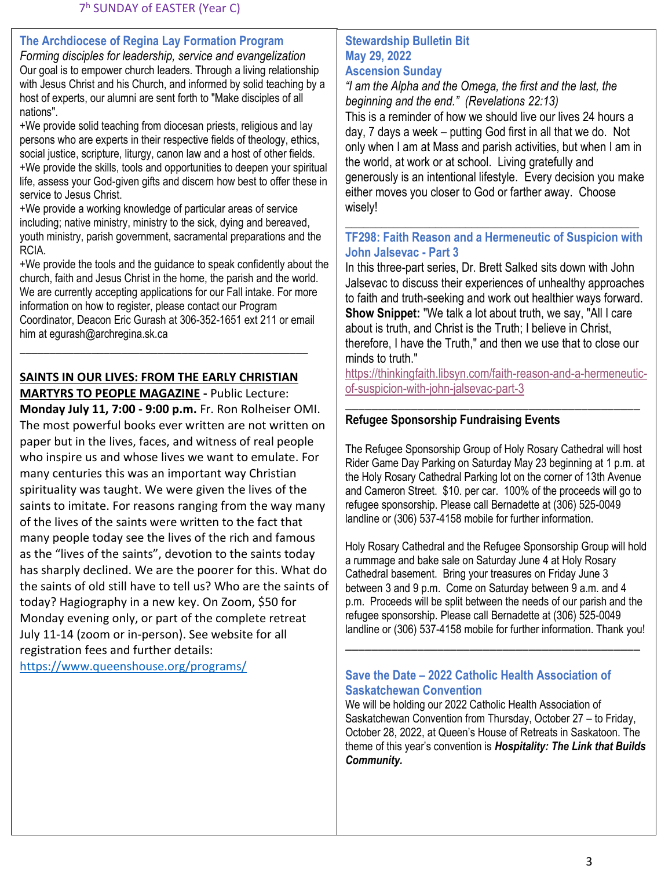## **The Archdiocese of Regina Lay Formation Program**

*Forming disciples for leadership, service and evangelization* Our goal is to empower church leaders. Through a living relationship with Jesus Christ and his Church, and informed by solid teaching by a host of experts, our alumni are sent forth to "Make disciples of all nations".

+We provide solid teaching from diocesan priests, religious and lay persons who are experts in their respective fields of theology, ethics, social justice, scripture, liturgy, canon law and a host of other fields. +We provide the skills, tools and opportunities to deepen your spiritual life, assess your God-given gifts and discern how best to offer these in service to Jesus Christ.

+We provide a working knowledge of particular areas of service including; native ministry, ministry to the sick, dying and bereaved, youth ministry, parish government, sacramental preparations and the RCIA.

+We provide the tools and the guidance to speak confidently about the church, faith and Jesus Christ in the home, the parish and the world. We are currently accepting applications for our Fall intake. For more information on how to register, please contact our Program Coordinator, Deacon Eric Gurash at 306-352-1651 ext 211 or email him at [egurash@archregina.sk.ca](mailto:egurash@archregina.sk.ca)

## **SAINTS IN OUR LIVES: FROM THE EARLY CHRISTIAN**

\_\_\_\_\_\_\_\_\_\_\_\_\_\_\_\_\_\_\_\_\_\_\_\_\_\_\_\_\_\_\_\_\_\_\_\_\_\_\_\_\_\_\_\_\_\_\_\_

**MARTYRS TO PEOPLE MAGAZINE -** Public Lecture: **Monday July 11, 7:00 - 9:00 p.m.** Fr. Ron Rolheiser OMI. The most powerful books ever written are not written on paper but in the lives, faces, and witness of real people who inspire us and whose lives we want to emulate. For many centuries this was an important way Christian spirituality was taught. We were given the lives of the saints to imitate. For reasons ranging from the way many of the lives of the saints were written to the fact that many people today see the lives of the rich and famous as the "lives of the saints", devotion to the saints today has sharply declined. We are the poorer for this. What do the saints of old still have to tell us? Who are the saints of today? Hagiography in a new key. On Zoom, \$50 for Monday evening only, or part of the complete retreat July 11-14 (zoom or in-person). See website for all registration fees and further details: <https://www.queenshouse.org/programs/>

### **Stewardship Bulletin Bit May 29, 2022 Ascension Sunday**

*"I am the Alpha and the Omega, the first and the last, the beginning and the end." (Revelations 22:13)* This is a reminder of how we should live our lives 24 hours a day, 7 days a week – putting God first in all that we do. Not only when I am at Mass and parish activities, but when I am in the world, at work or at school. Living gratefully and generously is an intentional lifestyle. Every decision you make either moves you closer to God or farther away. Choose wisely!

## **TF298: Faith Reason and a Hermeneutic of Suspicion with John Jalsevac - Part 3**

\_\_\_\_\_\_\_\_\_\_\_\_\_\_\_\_\_\_\_\_\_\_\_\_\_\_\_\_\_\_\_\_\_\_\_\_\_\_\_\_\_\_\_\_\_\_\_\_\_

In this three-part series, Dr. Brett Salked sits down with John Jalsevac to discuss their experiences of unhealthy approaches to faith and truth-seeking and work out healthier ways forward. **Show Snippet:** "We talk a lot about truth, we say, "All I care about is truth, and Christ is the Truth; I believe in Christ, therefore, I have the Truth," and then we use that to close our minds to truth."

[https://thinkingfaith.libsyn.com/faith-reason-and-a-hermeneutic](https://thinkingfaith.libsyn.com/faith-reason-and-a-hermeneutic-of-suspicion-with-john-jalsevac-part-3)[of-suspicion-with-john-jalsevac-part-3](https://thinkingfaith.libsyn.com/faith-reason-and-a-hermeneutic-of-suspicion-with-john-jalsevac-part-3)

\_\_\_\_\_\_\_\_\_\_\_\_\_\_\_\_\_\_\_\_\_\_\_\_\_\_\_\_\_\_\_\_\_\_\_\_\_\_\_\_\_\_\_\_\_

## **Refugee Sponsorship Fundraising Events**

The Refugee Sponsorship Group of Holy Rosary Cathedral will host Rider Game Day Parking on Saturday May 23 beginning at 1 p.m. at the Holy Rosary Cathedral Parking lot on the corner of 13th Avenue and Cameron Street. \$10. per car. 100% of the proceeds will go to refugee sponsorship. Please call Bernadette at (306) 525-0049 landline or (306) 537-4158 mobile for further information.

Holy Rosary Cathedral and the Refugee Sponsorship Group will hold a rummage and bake sale on Saturday June 4 at Holy Rosary Cathedral basement. Bring your treasures on Friday June 3 between 3 and 9 p.m. Come on Saturday between 9 a.m. and 4 p.m. Proceeds will be split between the needs of our parish and the refugee sponsorship. Please call Bernadette at (306) 525-0049 landline or (306) 537-4158 mobile for further information. Thank you!

\_\_\_\_\_\_\_\_\_\_\_\_\_\_\_\_\_\_\_\_\_\_\_\_\_\_\_\_\_\_\_\_\_\_\_\_\_\_\_\_\_\_\_\_\_

### **Save the Date – 2022 Catholic Health Association of Saskatchewan Convention**

We will be holding our 2022 Catholic Health Association of Saskatchewan Convention from Thursday, October 27 – to Friday, October 28, 2022, at Queen's House of Retreats in Saskatoon. The theme of this year's convention is *Hospitality: The Link that Builds Community.*